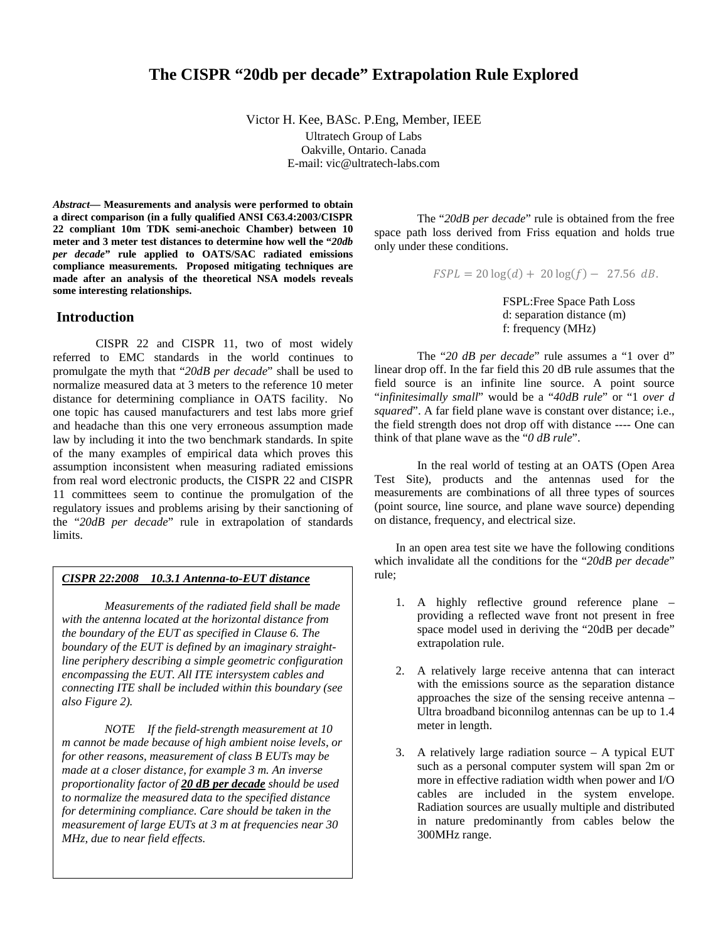# **The CISPR "20db per decade" Extrapolation Rule Explored**

Victor H. Kee, BASc. P.Eng, Member, IEEE

Ultratech Group of Labs Oakville, Ontario. Canada E-mail: vic@ultratech-labs.com

*Abstract***— Measurements and analysis were performed to obtain a direct comparison (in a fully qualified ANSI C63.4:2003/CISPR 22 compliant 10m TDK semi-anechoic Chamber) between 10 meter and 3 meter test distances to determine how well the "***20db per decade***" rule applied to OATS/SAC radiated emissions compliance measurements. Proposed mitigating techniques are made after an analysis of the theoretical NSA models reveals some interesting relationships.** 

# **Introduction**

CISPR 22 and CISPR 11, two of most widely referred to EMC standards in the world continues to promulgate the myth that "*20dB per decade*" shall be used to normalize measured data at 3 meters to the reference 10 meter distance for determining compliance in OATS facility. No one topic has caused manufacturers and test labs more grief and headache than this one very erroneous assumption made law by including it into the two benchmark standards. In spite of the many examples of empirical data which proves this assumption inconsistent when measuring radiated emissions from real word electronic products, the CISPR 22 and CISPR 11 committees seem to continue the promulgation of the regulatory issues and problems arising by their sanctioning of the "*20dB per decade*" rule in extrapolation of standards limits.

# *CISPR 22:2008 10.3.1 Antenna-to-EUT distance*

*Measurements of the radiated field shall be made with the antenna located at the horizontal distance from the boundary of the EUT as specified in Clause 6. The boundary of the EUT is defined by an imaginary straightline periphery describing a simple geometric configuration encompassing the EUT. All ITE intersystem cables and connecting ITE shall be included within this boundary (see also Figure 2).* 

*NOTE If the field-strength measurement at 10 m cannot be made because of high ambient noise levels, or for other reasons, measurement of class B EUTs may be made at a closer distance, for example 3 m. An inverse proportionality factor of 20 dB per decade should be used to normalize the measured data to the specified distance for determining compliance. Care should be taken in the measurement of large EUTs at 3 m at frequencies near 30 MHz, due to near field effects.*

The "*20dB per decade*" rule is obtained from the free space path loss derived from Friss equation and holds true only under these conditions.

 $\text{FSPL} = 20 \log(d) + 20 \log(f) - 27.56 \, dB.$ 

 FSPL:Free Space Path Loss d: separation distance (m) f: frequency (MHz)

The "*20 dB per decade*" rule assumes a "1 over d" linear drop off. In the far field this 20 dB rule assumes that the field source is an infinite line source. A point source "*infinitesimally small*" would be a "*40dB rule*" or "1 *over d squared*". A far field plane wave is constant over distance; i.e., the field strength does not drop off with distance ---- One can think of that plane wave as the "*0 dB rule*".

In the real world of testing at an OATS (Open Area Test Site), products and the antennas used for the measurements are combinations of all three types of sources (point source, line source, and plane wave source) depending on distance, frequency, and electrical size.

In an open area test site we have the following conditions which invalidate all the conditions for the "*20dB per decade*" rule;

- 1. A highly reflective ground reference plane providing a reflected wave front not present in free space model used in deriving the "20dB per decade" extrapolation rule.
- 2. A relatively large receive antenna that can interact with the emissions source as the separation distance approaches the size of the sensing receive antenna – Ultra broadband biconnilog antennas can be up to 1.4 meter in length.
- 3. A relatively large radiation source A typical EUT such as a personal computer system will span 2m or more in effective radiation width when power and I/O cables are included in the system envelope. Radiation sources are usually multiple and distributed in nature predominantly from cables below the 300MHz range.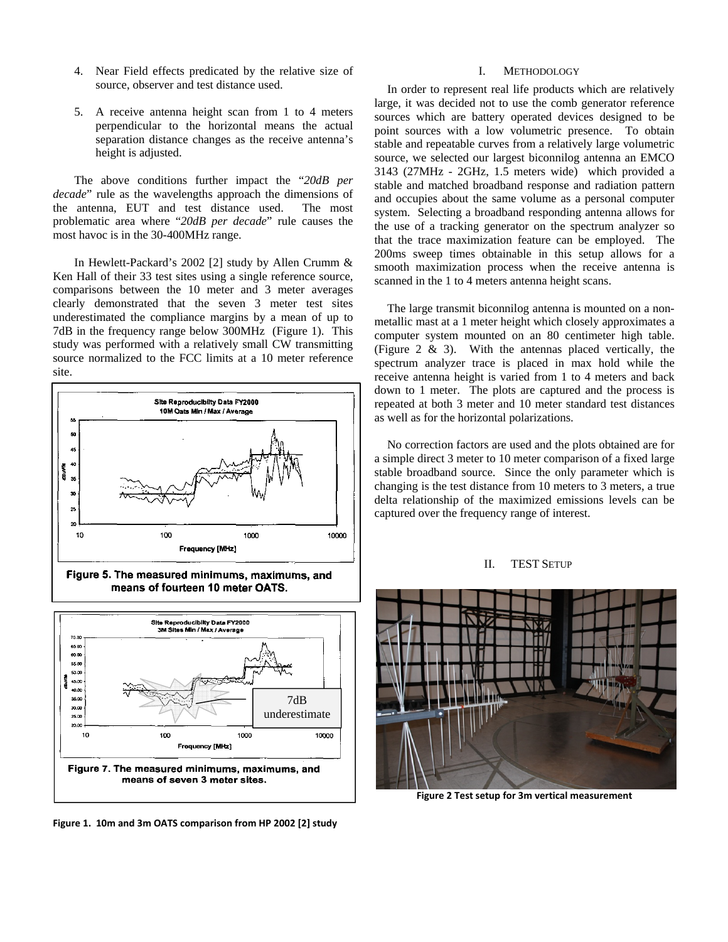- 4. Near Field effects predicated by the relative size of source, observer and test distance used.
- 5. A receive antenna height scan from 1 to 4 meters perpendicular to the horizontal means the actual separation distance changes as the receive antenna's height is adjusted.

The above conditions further impact the "*20dB per decade*" rule as the wavelengths approach the dimensions of the antenna, EUT and test distance used. The most problematic area where "*20dB per decade*" rule causes the most havoc is in the 30-400MHz range.

In Hewlett-Packard's 2002 [2] study by Allen Crumm & Ken Hall of their 33 test sites using a single reference source, comparisons between the 10 meter and 3 meter averages clearly demonstrated that the seven 3 meter test sites underestimated the compliance margins by a mean of up to 7dB in the frequency range below 300MHz (Figure 1). This study was performed with a relatively small CW transmitting source normalized to the FCC limits at a 10 meter reference site.







**Figure 1. 10m and 3m OATS comparison from HP 2002 [2] study**

## I. METHODOLOGY

In order to represent real life products which are relatively large, it was decided not to use the comb generator reference sources which are battery operated devices designed to be point sources with a low volumetric presence. To obtain stable and repeatable curves from a relatively large volumetric source, we selected our largest biconnilog antenna an EMCO 3143 (27MHz - 2GHz, 1.5 meters wide) which provided a stable and matched broadband response and radiation pattern and occupies about the same volume as a personal computer system. Selecting a broadband responding antenna allows for the use of a tracking generator on the spectrum analyzer so that the trace maximization feature can be employed. The 200ms sweep times obtainable in this setup allows for a smooth maximization process when the receive antenna is scanned in the 1 to 4 meters antenna height scans.

The large transmit biconnilog antenna is mounted on a nonmetallic mast at a 1 meter height which closely approximates a computer system mounted on an 80 centimeter high table. (Figure 2 & 3). With the antennas placed vertically, the spectrum analyzer trace is placed in max hold while the receive antenna height is varied from 1 to 4 meters and back down to 1 meter. The plots are captured and the process is repeated at both 3 meter and 10 meter standard test distances as well as for the horizontal polarizations.

No correction factors are used and the plots obtained are for a simple direct 3 meter to 10 meter comparison of a fixed large stable broadband source. Since the only parameter which is changing is the test distance from 10 meters to 3 meters, a true delta relationship of the maximized emissions levels can be captured over the frequency range of interest.

#### II. TEST SETUP



**Figure 2 Test setup for 3m vertical measurement**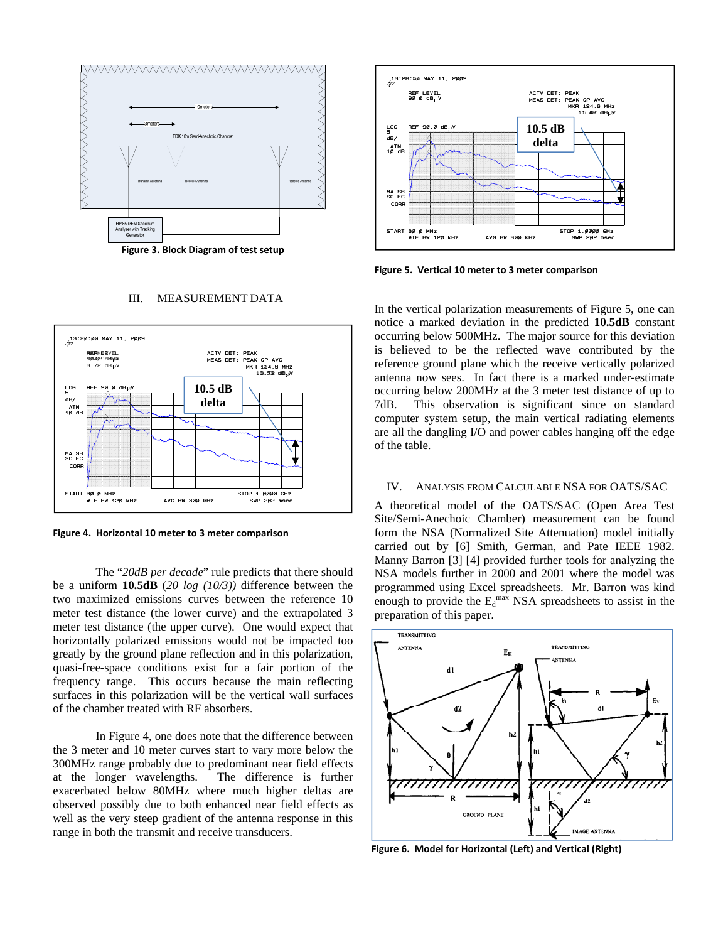

**Figure 3. Block Diagram of test setup**

#### III. MEASUREMENT DATA



**Figure 4. Horizontal 10 meter to 3 meter comparison**

The "*20dB per decade*" rule predicts that there should be a uniform **10.5dB** (*20 log (10/3))* difference between the two maximized emissions curves between the reference 10 meter test distance (the lower curve) and the extrapolated 3 meter test distance (the upper curve). One would expect that horizontally polarized emissions would not be impacted too greatly by the ground plane reflection and in this polarization, quasi-free-space conditions exist for a fair portion of the frequency range. This occurs because the main reflecting surfaces in this polarization will be the vertical wall surfaces of the chamber treated with RF absorbers.

In Figure 4, one does note that the difference between the 3 meter and 10 meter curves start to vary more below the 300MHz range probably due to predominant near field effects at the longer wavelengths. The difference is further exacerbated below 80MHz where much higher deltas are observed possibly due to both enhanced near field effects as well as the very steep gradient of the antenna response in this range in both the transmit and receive transducers.



**Figure 5. Vertical 10 meter to 3 meter comparison**

In the vertical polarization measurements of Figure 5, one can notice a marked deviation in the predicted **10.5dB** constant occurring below 500MHz. The major source for this deviation is believed to be the reflected wave contributed by the reference ground plane which the receive vertically polarized antenna now sees. In fact there is a marked under-estimate occurring below 200MHz at the 3 meter test distance of up to 7dB. This observation is significant since on standard computer system setup, the main vertical radiating elements are all the dangling I/O and power cables hanging off the edge of the table. Figure 3. Block Diagram of test setup<br>
Figure 5. Vertical 10 meter to 3 meter comparison<br>
III. MEASUREMENT DATA<br>
In the vertical polarization measurements of Figure<br>
notice a marked deviation in the predicted 10.5<br>
occurri

#### IV. ANALYSIS FROM CALCULABLE NSA FOR OATS/SAC

A theoretical model of the OATS/SAC (Open Area Test Site/Semi-Anechoic Chamber) measurement can be found form the NSA (Normalized Site Attenuation) model initially carried out by [6] Smith, German, and Pate IEEE 1982. Manny Barron [3] [4] provided further tools for analyzing the NSA models further in 2000 and 2001 where the model was programmed using Excel spreadsheets. Mr. Barron was kind enough to provide the  $E_d^{\text{max}}$  NSA spreadsheets to assist in the preparation of this paper.



**Figure 6. Model for Horizontal (Left) and Vertical (Right)**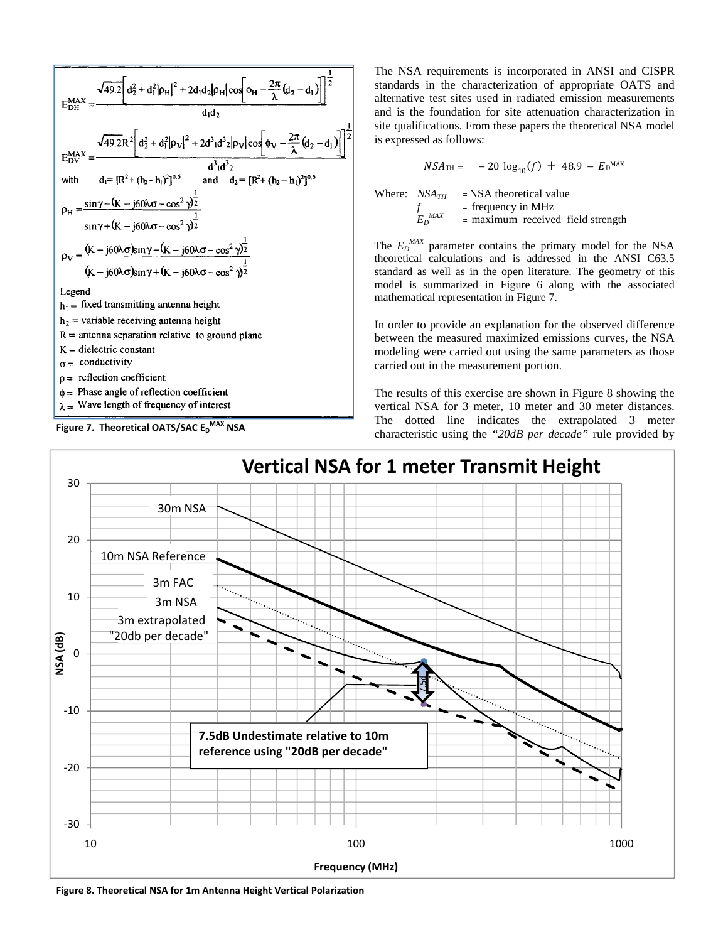



The NSA requirements is incorporated in ANSI and CISPR standards in the characterization of appropriate OATS and alternative test sites used in radiated emission measurements and is the foundation for site attenuation characterization in site qualifications. From these papers the theoretical NSA model is expressed as follows:

$$
NSA_{\text{TH}} = -20 \log_{10}(f) + 48.9 - E_{\text{D}}^{\text{MAX}}
$$

Where:  $NSA_{TH}$  = NSA theoretical value  $f = \text{frequency in MHz}$  $E_D$ <sup>MAX</sup> = maximum received field strength

The  $E_D^{MAX}$  parameter contains the primary model for the NSA theoretical calculations and is addressed in the ANSI C63.5 standard as well as in the open literature. The geometry of this model is summarized in Figure 6 along with the associated mathematical representation in Figure 7.

In order to provide an explanation for the observed difference between the measured maximized emissions curves, the NSA modeling were carried out using the same parameters as those carried out in the measurement portion.

The results of this exercise are shown in Figure 8 showing the vertical NSA for 3 meter, 10 meter and 30 meter distances. The dotted line indicates the extrapolated 3 meter characteristic using the *"20dB per decade"* rule provided by



**Figure 8. Theoretical NSA for 1m Antenna Height Vertical Polarization**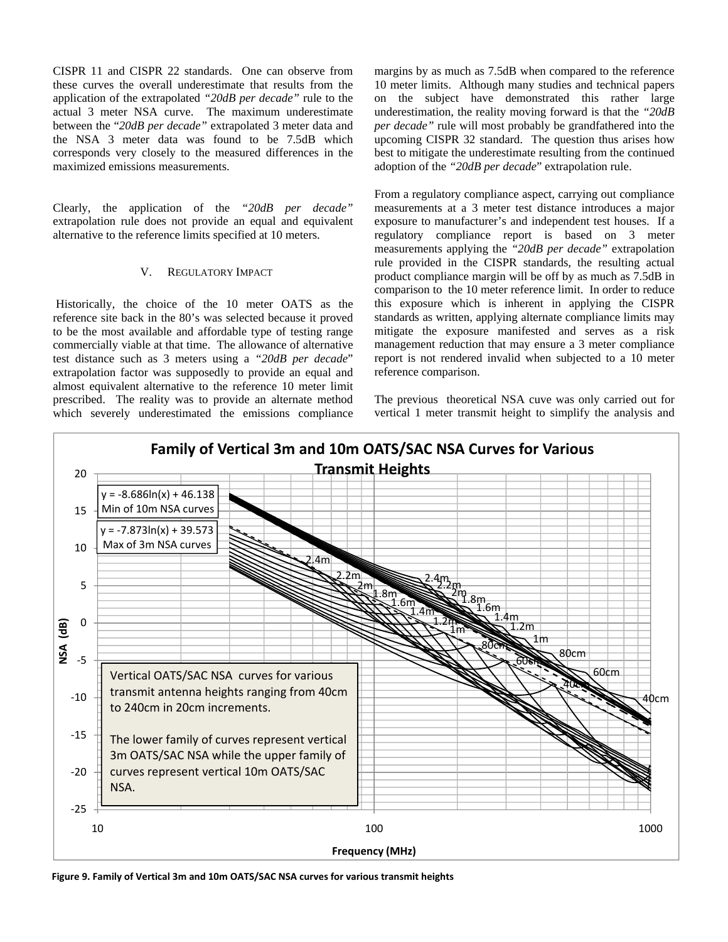CISPR 11 and CISPR 22 standards. One can observe from these curves the overall underestimate that results from the application of the extrapolated *"20dB per decade"* rule to the actual 3 meter NSA curve. The maximum underestimate between the "*20dB per decade"* extrapolated 3 meter data and the NSA 3 meter data was found to be 7.5dB which corresponds very closely to the measured differences in the maximized emissions measurements.

Clearly, the application of the *"20dB per decade"*  extrapolation rule does not provide an equal and equivalent alternative to the reference limits specified at 10 meters.

# V. REGULATORY IMPACT

 Historically, the choice of the 10 meter OATS as the reference site back in the 80's was selected because it proved to be the most available and affordable type of testing range commercially viable at that time. The allowance of alternative test distance such as 3 meters using a *"20dB per decade*" extrapolation factor was supposedly to provide an equal and almost equivalent alternative to the reference 10 meter limit prescribed. The reality was to provide an alternate method which severely underestimated the emissions compliance margins by as much as 7.5dB when compared to the reference 10 meter limits. Although many studies and technical papers on the subject have demonstrated this rather large underestimation, the reality moving forward is that the *"20dB per decade"* rule will most probably be grandfathered into the upcoming CISPR 32 standard. The question thus arises how best to mitigate the underestimate resulting from the continued adoption of the *"20dB per decade*" extrapolation rule.

From a regulatory compliance aspect, carrying out compliance measurements at a 3 meter test distance introduces a major exposure to manufacturer's and independent test houses. If a regulatory compliance report is based on 3 meter measurements applying the *"20dB per decade"* extrapolation rule provided in the CISPR standards, the resulting actual product compliance margin will be off by as much as 7.5dB in comparison to the 10 meter reference limit. In order to reduce this exposure which is inherent in applying the CISPR standards as written, applying alternate compliance limits may mitigate the exposure manifested and serves as a risk management reduction that may ensure a 3 meter compliance report is not rendered invalid when subjected to a 10 meter reference comparison.

The previous theoretical NSA cuve was only carried out for vertical 1 meter transmit height to simplify the analysis and



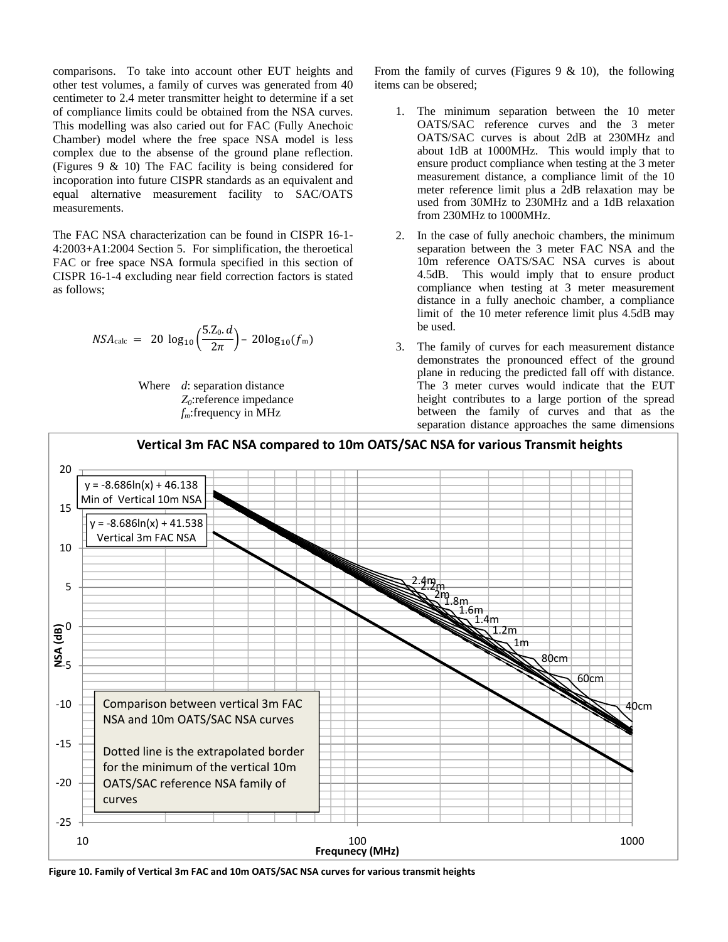comparisons. To take into account other EUT heights and other test volumes, a family of curves was generated from 40 centimeter to 2.4 meter transmitter height to determine if a set of compliance limits could be obtained from the NSA curves. This modelling was also caried out for FAC (Fully Anechoic Chamber) model where the free space NSA model is less complex due to the absense of the ground plane reflection. (Figures  $9 \& 10$ ) The FAC facility is being considered for incoporation into future CISPR standards as an equivalent and equal alternative measurement facility to SAC/OATS measurements.

The FAC NSA characterization can be found in CISPR 16-1- 4:2003+A1:2004 Section 5. For simplification, the theroetical FAC or free space NSA formula specified in this section of CISPR 16-1-4 excluding near field correction factors is stated as follows;

$$
NSA_{\text{calc}} = 20 \log_{10} \left( \frac{5. Z_0. d}{2\pi} \right) - 20 \log_{10} (f_m)
$$

 Where *d*: separation distance *Z0*:reference impedance *fm*:frequency in MHz

From the family of curves (Figures  $9 < 10$ ), the following items can be obsered;

- 1. The minimum separation between the 10 meter OATS/SAC reference curves and the 3 meter OATS/SAC curves is about 2dB at 230MHz and about 1dB at 1000MHz. This would imply that to ensure product compliance when testing at the 3 meter measurement distance, a compliance limit of the 10 meter reference limit plus a 2dB relaxation may be used from 30MHz to 230MHz and a 1dB relaxation from 230MHz to 1000MHz.
- 2. In the case of fully anechoic chambers, the minimum separation between the 3 meter FAC NSA and the 10m reference OATS/SAC NSA curves is about 4.5dB. This would imply that to ensure product compliance when testing at 3 meter measurement distance in a fully anechoic chamber, a compliance limit of the 10 meter reference limit plus 4.5dB may be used.
- 3. The family of curves for each measurement distance demonstrates the pronounced effect of the ground plane in reducing the predicted fall off with distance. The 3 meter curves would indicate that the EUT height contributes to a large portion of the spread between the family of curves and that as the separation distance approaches the same dimensions



**Figure 10. Family of Vertical 3m FAC and 10m OATS/SAC NSA curves for various transmit heights**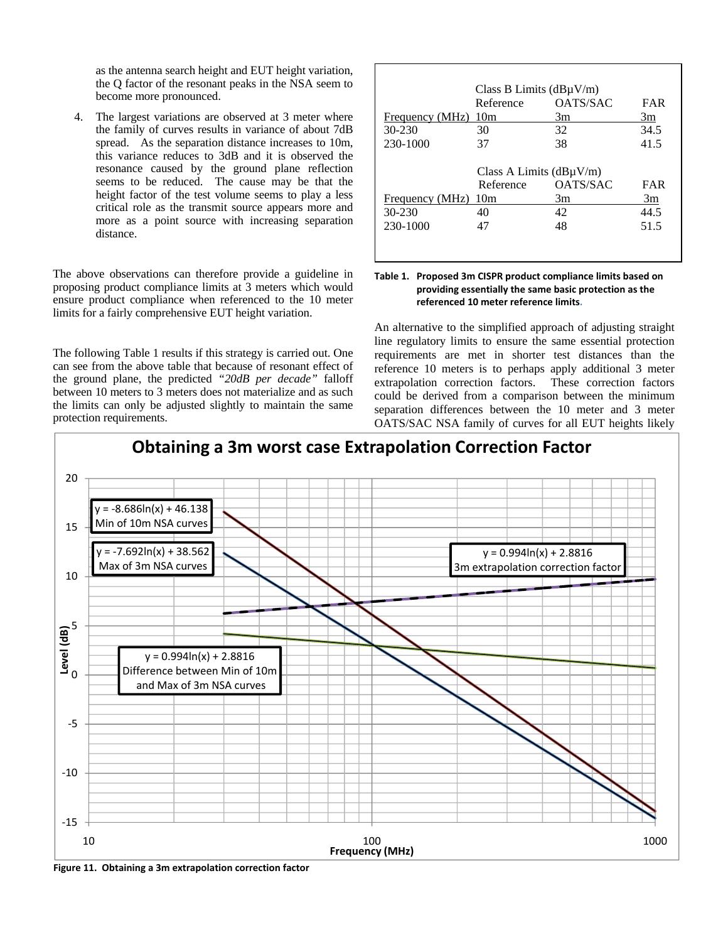as the antenna search height and EUT height variation, the Q factor of the resonant peaks in the NSA seem to become more pronounced.

4. The largest variations are observed at 3 meter where the family of curves results in variance of about 7dB spread. As the separation distance increases to 10m, this variance reduces to 3dB and it is observed the resonance caused by the ground plane reflection seems to be reduced. The cause may be that the height factor of the test volume seems to play a less critical role as the transmit source appears more and more as a point source with increasing separation distance.

The above observations can therefore provide a guideline in proposing product compliance limits at 3 meters which would ensure product compliance when referenced to the 10 meter limits for a fairly comprehensive EUT height variation.

The following Table 1 results if this strategy is carried out. One can see from the above table that because of resonant effect of the ground plane, the predicted *"20dB per decade"* falloff between 10 meters to 3 meters does not materialize and as such the limits can only be adjusted slightly to maintain the same protection requirements.

|                 | Class B Limits $(dB\mu V/m)$ |                 |            |
|-----------------|------------------------------|-----------------|------------|
|                 | Reference                    | <b>OATS/SAC</b> | <b>FAR</b> |
| Frequency (MHz) | 10 <sub>m</sub>              | 3m              | 3m         |
| 30-230          | 30                           | 32              | 34.5       |
| 230-1000        | 37                           | 38              | 41.5       |
|                 |                              |                 |            |
|                 | Class A Limits $(dB\mu V/m)$ |                 |            |
|                 | Reference                    | <b>OATS/SAC</b> | FAR        |
|                 |                              |                 |            |
| Frequency (MHz) | 10 <sub>m</sub>              | 3m              | 3m         |
| $30 - 230$      | 40                           | 42              | 44.5       |
| 230-1000        | 47                           | 48              | 51.5       |

## **Table 1. Proposed 3m CISPR product compliance limits based on providing essentially the same basic protection as the referenced 10 meter reference limits.**

An alternative to the simplified approach of adjusting straight line regulatory limits to ensure the same essential protection requirements are met in shorter test distances than the reference 10 meters is to perhaps apply additional 3 meter extrapolation correction factors. These correction factors could be derived from a comparison between the minimum separation differences between the 10 meter and 3 meter OATS/SAC NSA family of curves for all EUT heights likely



Г

**Figure 11. Obtaining a 3m extrapolation correction factor**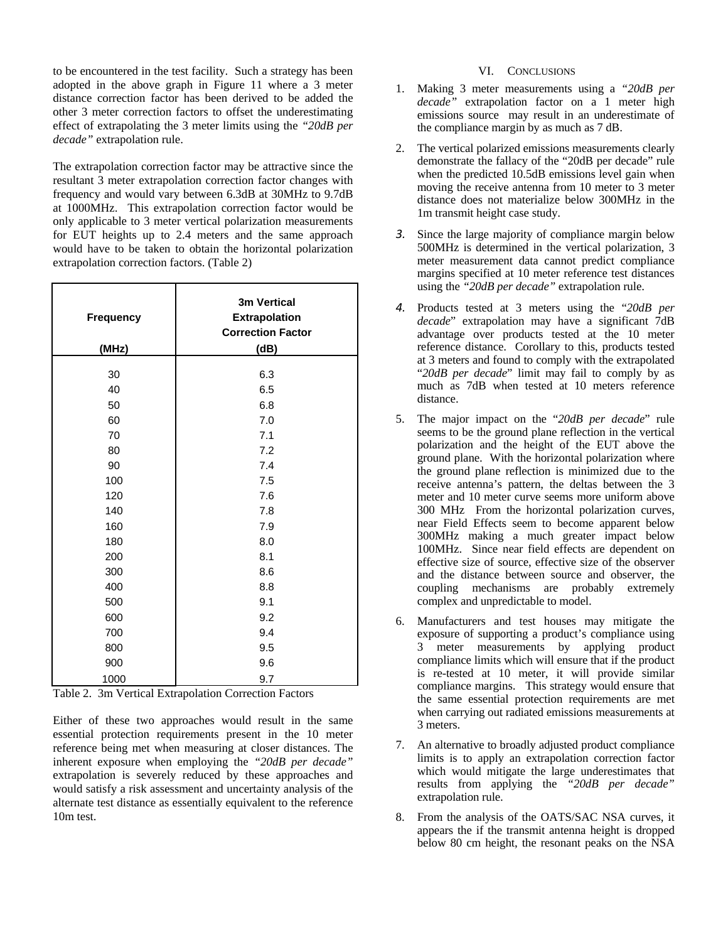to be encountered in the test facility. Such a strategy has been adopted in the above graph in Figure 11 where a 3 meter distance correction factor has been derived to be added the other 3 meter correction factors to offset the underestimating effect of extrapolating the 3 meter limits using the *"20dB per decade"* extrapolation rule.

The extrapolation correction factor may be attractive since the resultant 3 meter extrapolation correction factor changes with frequency and would vary between 6.3dB at 30MHz to 9.7dB at 1000MHz. This extrapolation correction factor would be only applicable to 3 meter vertical polarization measurements for EUT heights up to 2.4 meters and the same approach would have to be taken to obtain the horizontal polarization extrapolation correction factors. (Table 2)

| Frequency<br>(MHz) | 3m Vertical<br><b>Extrapolation</b><br><b>Correction Factor</b><br>(dB) |
|--------------------|-------------------------------------------------------------------------|
| 30                 | 6.3                                                                     |
| 40                 | 6.5                                                                     |
|                    |                                                                         |
| 50                 | 6.8                                                                     |
| 60                 | 7.0                                                                     |
| 70                 | 7.1                                                                     |
| 80                 | 7.2                                                                     |
| 90                 | 7.4                                                                     |
| 100                | 7.5                                                                     |
| 120                | 7.6                                                                     |
| 140                | 7.8                                                                     |
| 160                | 7.9                                                                     |
| 180                | 8.0                                                                     |
| 200                | 8.1                                                                     |
| 300                | 8.6                                                                     |
| 400                | 8.8                                                                     |
| 500                | 9.1                                                                     |
| 600                | 9.2                                                                     |
| 700                | 9.4                                                                     |
| 800                | 9.5                                                                     |
| 900                | 9.6                                                                     |
| 1000               | 9.7                                                                     |

Table 2. 3m Vertical Extrapolation Correction Factors

Either of these two approaches would result in the same essential protection requirements present in the 10 meter reference being met when measuring at closer distances. The inherent exposure when employing the *"20dB per decade"* extrapolation is severely reduced by these approaches and would satisfy a risk assessment and uncertainty analysis of the alternate test distance as essentially equivalent to the reference 10m test.

## VI. CONCLUSIONS

- 1. Making 3 meter measurements using a *"20dB per decade"* extrapolation factor on a 1 meter high emissions source may result in an underestimate of the compliance margin by as much as 7 dB.
- 2. The vertical polarized emissions measurements clearly demonstrate the fallacy of the "20dB per decade" rule when the predicted 10.5dB emissions level gain when moving the receive antenna from 10 meter to 3 meter distance does not materialize below 300MHz in the 1m transmit height case study.
- *3.* Since the large majority of compliance margin below 500MHz is determined in the vertical polarization, 3 meter measurement data cannot predict compliance margins specified at 10 meter reference test distances using the *"20dB per decade"* extrapolation rule.
- *4.* Products tested at 3 meters using the "*20dB per decade*" extrapolation may have a significant 7dB advantage over products tested at the 10 meter reference distance. Corollary to this, products tested at 3 meters and found to comply with the extrapolated "*20dB per decade*" limit may fail to comply by as much as 7dB when tested at 10 meters reference distance.
- 5. The major impact on the "*20dB per decade*" rule seems to be the ground plane reflection in the vertical polarization and the height of the EUT above the ground plane. With the horizontal polarization where the ground plane reflection is minimized due to the receive antenna's pattern, the deltas between the 3 meter and 10 meter curve seems more uniform above 300 MHz From the horizontal polarization curves, near Field Effects seem to become apparent below 300MHz making a much greater impact below 100MHz. Since near field effects are dependent on effective size of source, effective size of the observer and the distance between source and observer, the coupling mechanisms are probably extremely complex and unpredictable to model.
- Manufacturers and test houses may mitigate the exposure of supporting a product's compliance using 3 meter measurements by applying product compliance limits which will ensure that if the product is re-tested at 10 meter, it will provide similar compliance margins. This strategy would ensure that the same essential protection requirements are met when carrying out radiated emissions measurements at 3 meters.
- 7. An alternative to broadly adjusted product compliance limits is to apply an extrapolation correction factor which would mitigate the large underestimates that results from applying the *"20dB per decade"* extrapolation rule.
- 8. From the analysis of the OATS/SAC NSA curves, it appears the if the transmit antenna height is dropped below 80 cm height, the resonant peaks on the NSA